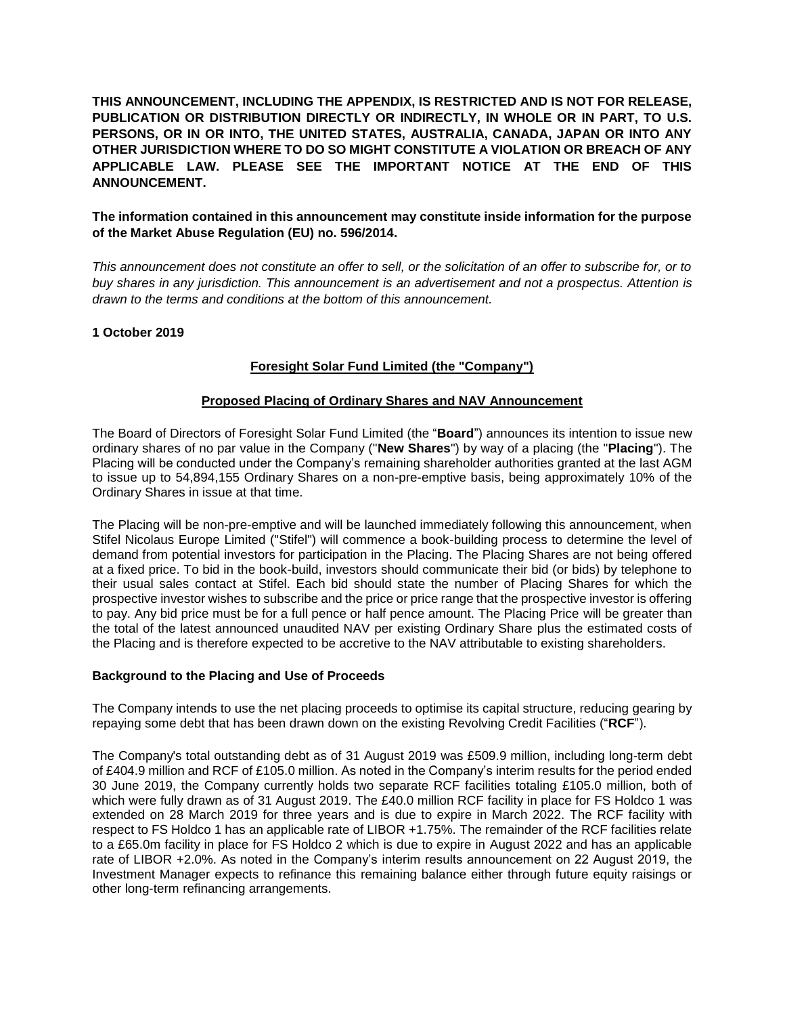**THIS ANNOUNCEMENT, INCLUDING THE APPENDIX, IS RESTRICTED AND IS NOT FOR RELEASE, PUBLICATION OR DISTRIBUTION DIRECTLY OR INDIRECTLY, IN WHOLE OR IN PART, TO U.S. PERSONS, OR IN OR INTO, THE UNITED STATES, AUSTRALIA, CANADA, JAPAN OR INTO ANY OTHER JURISDICTION WHERE TO DO SO MIGHT CONSTITUTE A VIOLATION OR BREACH OF ANY APPLICABLE LAW. PLEASE SEE THE IMPORTANT NOTICE AT THE END OF THIS ANNOUNCEMENT.**

# **The information contained in this announcement may constitute inside information for the purpose of the Market Abuse Regulation (EU) no. 596/2014.**

*This announcement does not constitute an offer to sell, or the solicitation of an offer to subscribe for, or to buy shares in any jurisdiction. This announcement is an advertisement and not a prospectus. Attention is drawn to the terms and conditions at the bottom of this announcement.*

# **1 October 2019**

# **Foresight Solar Fund Limited (the "Company")**

# **Proposed Placing of Ordinary Shares and NAV Announcement**

The Board of Directors of Foresight Solar Fund Limited (the "**Board**") announces its intention to issue new ordinary shares of no par value in the Company ("**New Shares**") by way of a placing (the "**Placing**"). The Placing will be conducted under the Company's remaining shareholder authorities granted at the last AGM to issue up to 54,894,155 Ordinary Shares on a non-pre-emptive basis, being approximately 10% of the Ordinary Shares in issue at that time.

The Placing will be non-pre-emptive and will be launched immediately following this announcement, when Stifel Nicolaus Europe Limited ("Stifel") will commence a book-building process to determine the level of demand from potential investors for participation in the Placing. The Placing Shares are not being offered at a fixed price. To bid in the book-build, investors should communicate their bid (or bids) by telephone to their usual sales contact at Stifel. Each bid should state the number of Placing Shares for which the prospective investor wishes to subscribe and the price or price range that the prospective investor is offering to pay. Any bid price must be for a full pence or half pence amount. The Placing Price will be greater than the total of the latest announced unaudited NAV per existing Ordinary Share plus the estimated costs of the Placing and is therefore expected to be accretive to the NAV attributable to existing shareholders.

## **Background to the Placing and Use of Proceeds**

The Company intends to use the net placing proceeds to optimise its capital structure, reducing gearing by repaying some debt that has been drawn down on the existing Revolving Credit Facilities ("**RCF**").

The Company's total outstanding debt as of 31 August 2019 was £509.9 million, including long-term debt of £404.9 million and RCF of £105.0 million. As noted in the Company's interim results for the period ended 30 June 2019, the Company currently holds two separate RCF facilities totaling £105.0 million, both of which were fully drawn as of 31 August 2019. The £40.0 million RCF facility in place for FS Holdco 1 was extended on 28 March 2019 for three years and is due to expire in March 2022. The RCF facility with respect to FS Holdco 1 has an applicable rate of LIBOR +1.75%. The remainder of the RCF facilities relate to a £65.0m facility in place for FS Holdco 2 which is due to expire in August 2022 and has an applicable rate of LIBOR +2.0%. As noted in the Company's interim results announcement on 22 August 2019, the Investment Manager expects to refinance this remaining balance either through future equity raisings or other long-term refinancing arrangements.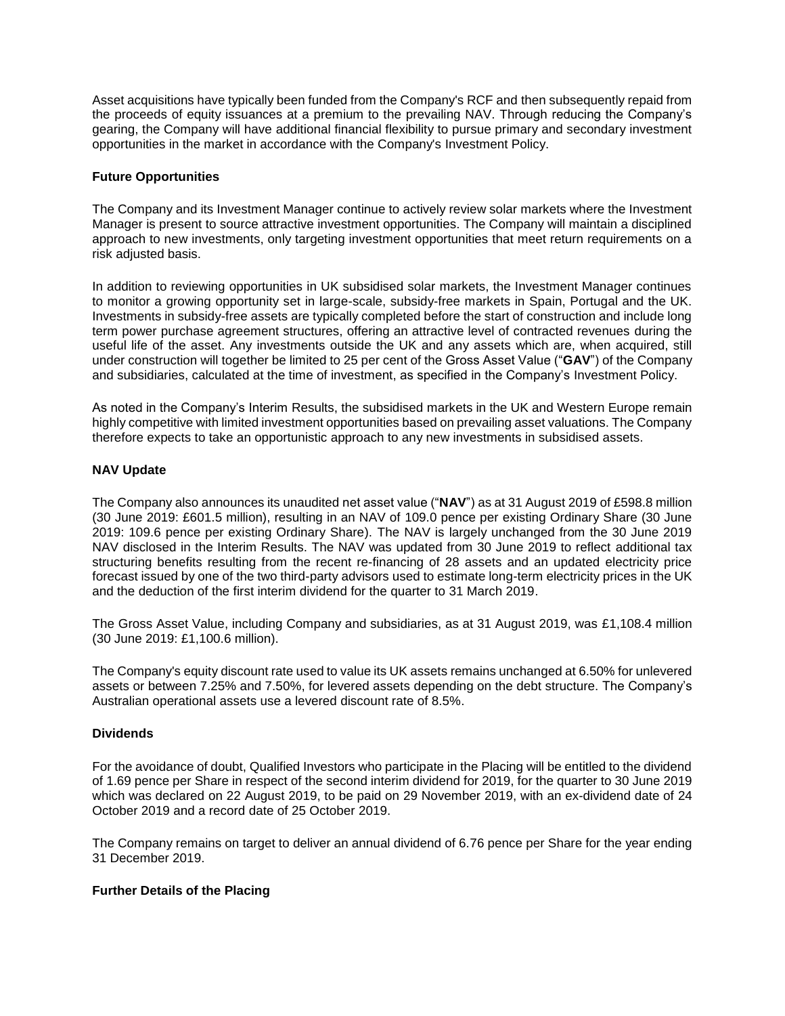Asset acquisitions have typically been funded from the Company's RCF and then subsequently repaid from the proceeds of equity issuances at a premium to the prevailing NAV. Through reducing the Company's gearing, the Company will have additional financial flexibility to pursue primary and secondary investment opportunities in the market in accordance with the Company's Investment Policy.

# **Future Opportunities**

The Company and its Investment Manager continue to actively review solar markets where the Investment Manager is present to source attractive investment opportunities. The Company will maintain a disciplined approach to new investments, only targeting investment opportunities that meet return requirements on a risk adjusted basis.

In addition to reviewing opportunities in UK subsidised solar markets, the Investment Manager continues to monitor a growing opportunity set in large-scale, subsidy-free markets in Spain, Portugal and the UK. Investments in subsidy-free assets are typically completed before the start of construction and include long term power purchase agreement structures, offering an attractive level of contracted revenues during the useful life of the asset. Any investments outside the UK and any assets which are, when acquired, still under construction will together be limited to 25 per cent of the Gross Asset Value ("**GAV**") of the Company and subsidiaries, calculated at the time of investment, as specified in the Company's Investment Policy.

As noted in the Company's Interim Results, the subsidised markets in the UK and Western Europe remain highly competitive with limited investment opportunities based on prevailing asset valuations. The Company therefore expects to take an opportunistic approach to any new investments in subsidised assets.

# **NAV Update**

The Company also announces its unaudited net asset value ("**NAV**") as at 31 August 2019 of £598.8 million (30 June 2019: £601.5 million), resulting in an NAV of 109.0 pence per existing Ordinary Share (30 June 2019: 109.6 pence per existing Ordinary Share). The NAV is largely unchanged from the 30 June 2019 NAV disclosed in the Interim Results. The NAV was updated from 30 June 2019 to reflect additional tax structuring benefits resulting from the recent re-financing of 28 assets and an updated electricity price forecast issued by one of the two third-party advisors used to estimate long-term electricity prices in the UK and the deduction of the first interim dividend for the quarter to 31 March 2019.

The Gross Asset Value, including Company and subsidiaries, as at 31 August 2019, was £1,108.4 million (30 June 2019: £1,100.6 million).

The Company's equity discount rate used to value its UK assets remains unchanged at 6.50% for unlevered assets or between 7.25% and 7.50%, for levered assets depending on the debt structure. The Company's Australian operational assets use a levered discount rate of 8.5%.

# **Dividends**

For the avoidance of doubt, Qualified Investors who participate in the Placing will be entitled to the dividend of 1.69 pence per Share in respect of the second interim dividend for 2019, for the quarter to 30 June 2019 which was declared on 22 August 2019, to be paid on 29 November 2019, with an ex-dividend date of 24 October 2019 and a record date of 25 October 2019.

The Company remains on target to deliver an annual dividend of 6.76 pence per Share for the year ending 31 December 2019.

## **Further Details of the Placing**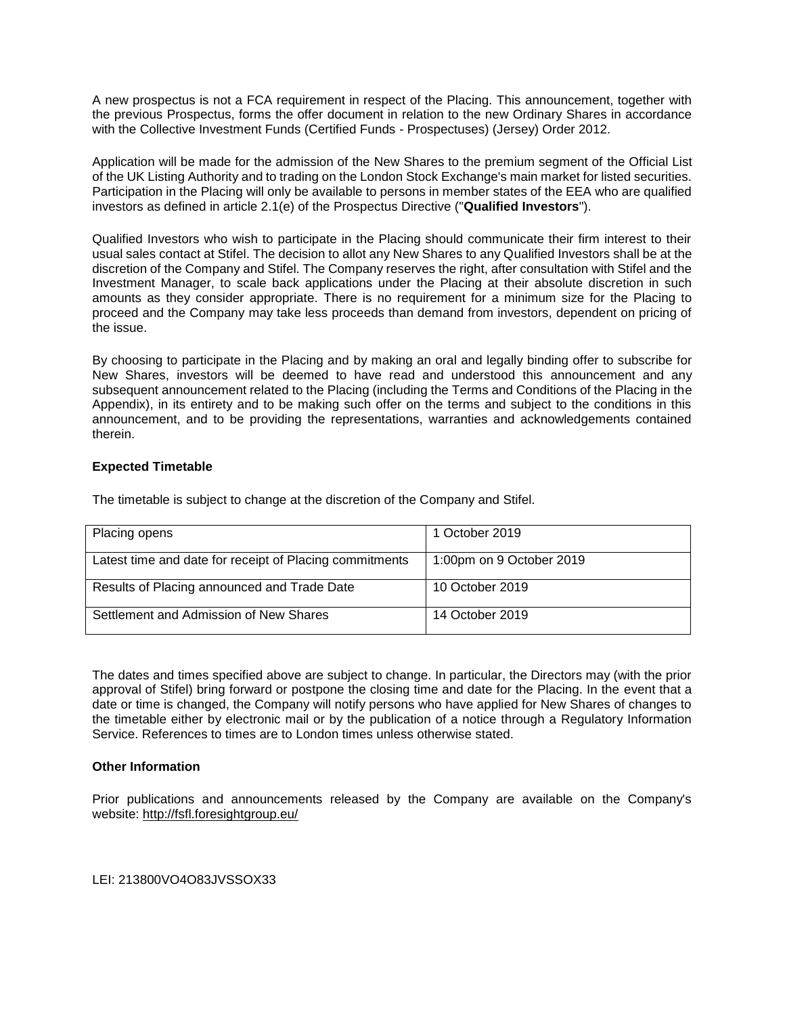A new prospectus is not a FCA requirement in respect of the Placing. This announcement, together with the previous Prospectus, forms the offer document in relation to the new Ordinary Shares in accordance with the Collective Investment Funds (Certified Funds - Prospectuses) (Jersey) Order 2012.

Application will be made for the admission of the New Shares to the premium segment of the Official List of the UK Listing Authority and to trading on the London Stock Exchange's main market for listed securities. Participation in the Placing will only be available to persons in member states of the EEA who are qualified investors as defined in article 2.1(e) of the Prospectus Directive ("**Qualified Investors**").

Qualified Investors who wish to participate in the Placing should communicate their firm interest to their usual sales contact at Stifel. The decision to allot any New Shares to any Qualified Investors shall be at the discretion of the Company and Stifel. The Company reserves the right, after consultation with Stifel and the Investment Manager, to scale back applications under the Placing at their absolute discretion in such amounts as they consider appropriate. There is no requirement for a minimum size for the Placing to proceed and the Company may take less proceeds than demand from investors, dependent on pricing of the issue.

By choosing to participate in the Placing and by making an oral and legally binding offer to subscribe for New Shares, investors will be deemed to have read and understood this announcement and any subsequent announcement related to the Placing (including the Terms and Conditions of the Placing in the Appendix), in its entirety and to be making such offer on the terms and subject to the conditions in this announcement, and to be providing the representations, warranties and acknowledgements contained therein.

# **Expected Timetable**

The timetable is subject to change at the discretion of the Company and Stifel.

| Placing opens                                           | 1 October 2019           |
|---------------------------------------------------------|--------------------------|
| Latest time and date for receipt of Placing commitments | 1:00pm on 9 October 2019 |
| Results of Placing announced and Trade Date             | 10 October 2019          |
| Settlement and Admission of New Shares                  | 14 October 2019          |

The dates and times specified above are subject to change. In particular, the Directors may (with the prior approval of Stifel) bring forward or postpone the closing time and date for the Placing. In the event that a date or time is changed, the Company will notify persons who have applied for New Shares of changes to the timetable either by electronic mail or by the publication of a notice through a Regulatory Information Service. References to times are to London times unless otherwise stated.

## **Other Information**

Prior publications and announcements released by the Company are available on the Company's website: <http://fsfl.foresightgroup.eu/>

LEI: 213800VO4O83JVSSOX33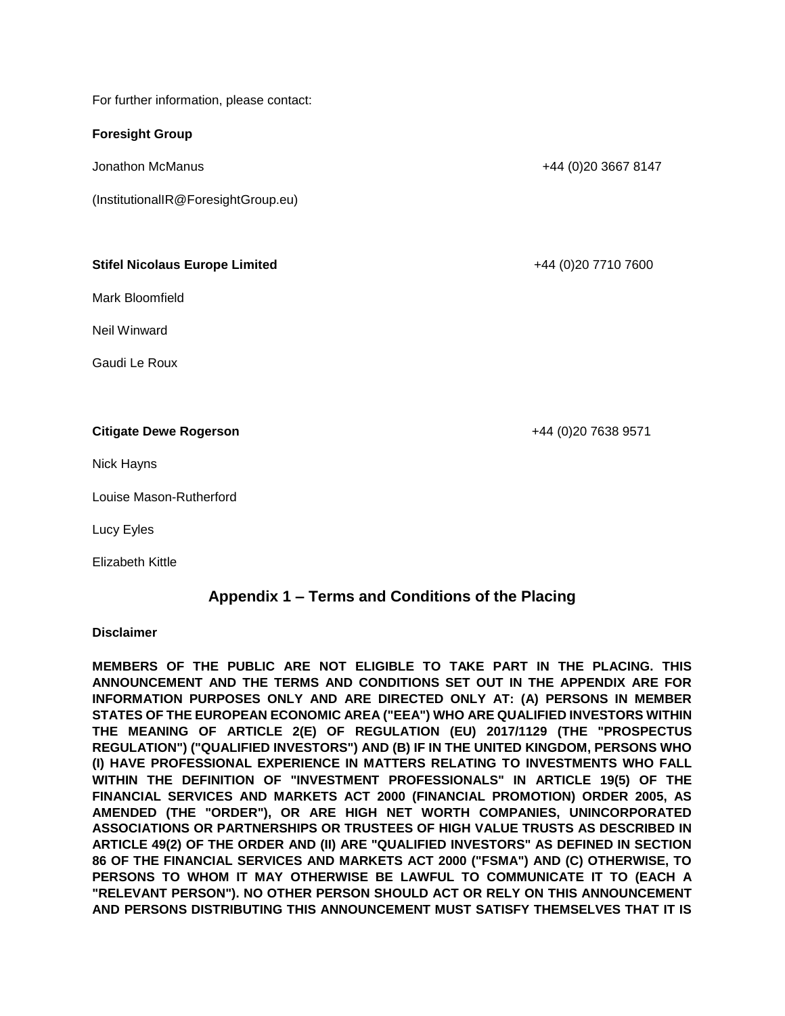For further information, please contact:

# **Foresight Group**

Jonathon McManus +44 (0)20 3667 8147

(InstitutionalIR@ForesightGroup.eu)

**Stifel Nicolaus Europe Limited**   $+44 (0)20 7710 7600$ 

Mark Bloomfield

Neil Winward

Gaudi Le Roux

**Citigate Dewe Rogerson** +44 (0)20 7638 9571

Nick Hayns

Louise Mason-Rutherford

Lucy Eyles

Elizabeth Kittle

# **Appendix 1 – Terms and Conditions of the Placing**

## **Disclaimer**

**MEMBERS OF THE PUBLIC ARE NOT ELIGIBLE TO TAKE PART IN THE PLACING. THIS ANNOUNCEMENT AND THE TERMS AND CONDITIONS SET OUT IN THE APPENDIX ARE FOR INFORMATION PURPOSES ONLY AND ARE DIRECTED ONLY AT: (A) PERSONS IN MEMBER STATES OF THE EUROPEAN ECONOMIC AREA ("EEA") WHO ARE QUALIFIED INVESTORS WITHIN THE MEANING OF ARTICLE 2(E) OF REGULATION (EU) 2017/1129 (THE "PROSPECTUS REGULATION") ("QUALIFIED INVESTORS") AND (B) IF IN THE UNITED KINGDOM, PERSONS WHO (I) HAVE PROFESSIONAL EXPERIENCE IN MATTERS RELATING TO INVESTMENTS WHO FALL WITHIN THE DEFINITION OF "INVESTMENT PROFESSIONALS" IN ARTICLE 19(5) OF THE FINANCIAL SERVICES AND MARKETS ACT 2000 (FINANCIAL PROMOTION) ORDER 2005, AS AMENDED (THE "ORDER"), OR ARE HIGH NET WORTH COMPANIES, UNINCORPORATED ASSOCIATIONS OR PARTNERSHIPS OR TRUSTEES OF HIGH VALUE TRUSTS AS DESCRIBED IN ARTICLE 49(2) OF THE ORDER AND (II) ARE "QUALIFIED INVESTORS" AS DEFINED IN SECTION 86 OF THE FINANCIAL SERVICES AND MARKETS ACT 2000 ("FSMA") AND (C) OTHERWISE, TO PERSONS TO WHOM IT MAY OTHERWISE BE LAWFUL TO COMMUNICATE IT TO (EACH A "RELEVANT PERSON"). NO OTHER PERSON SHOULD ACT OR RELY ON THIS ANNOUNCEMENT AND PERSONS DISTRIBUTING THIS ANNOUNCEMENT MUST SATISFY THEMSELVES THAT IT IS**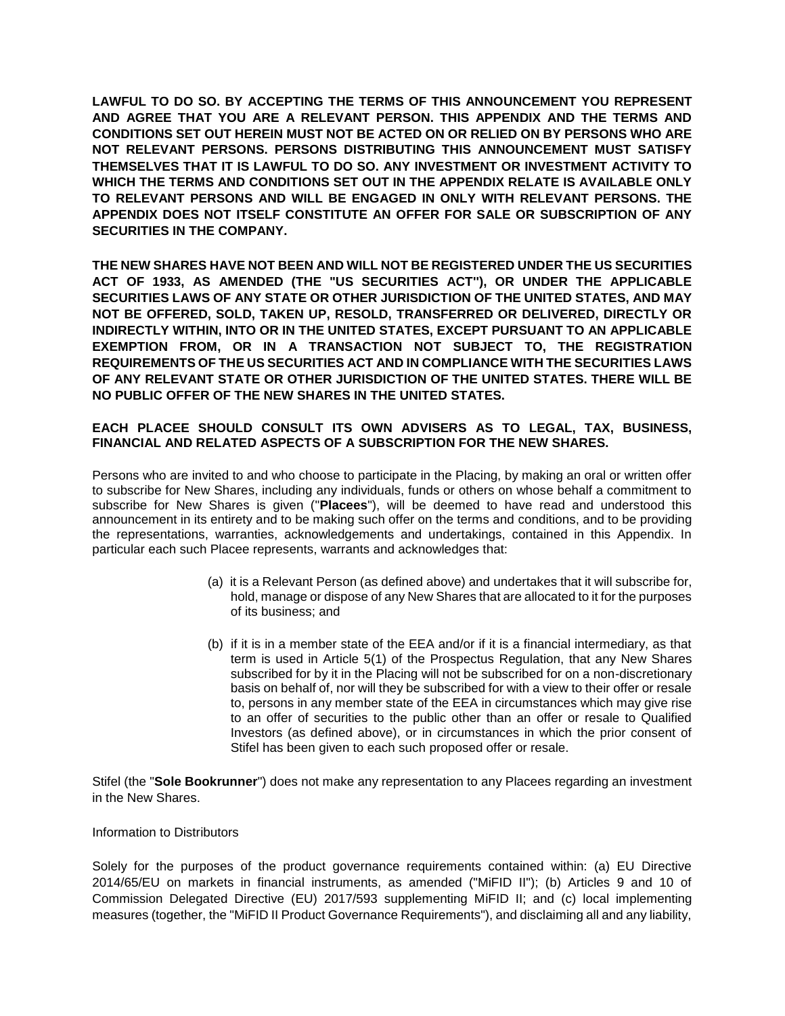**LAWFUL TO DO SO. BY ACCEPTING THE TERMS OF THIS ANNOUNCEMENT YOU REPRESENT AND AGREE THAT YOU ARE A RELEVANT PERSON. THIS APPENDIX AND THE TERMS AND CONDITIONS SET OUT HEREIN MUST NOT BE ACTED ON OR RELIED ON BY PERSONS WHO ARE NOT RELEVANT PERSONS. PERSONS DISTRIBUTING THIS ANNOUNCEMENT MUST SATISFY THEMSELVES THAT IT IS LAWFUL TO DO SO. ANY INVESTMENT OR INVESTMENT ACTIVITY TO WHICH THE TERMS AND CONDITIONS SET OUT IN THE APPENDIX RELATE IS AVAILABLE ONLY TO RELEVANT PERSONS AND WILL BE ENGAGED IN ONLY WITH RELEVANT PERSONS. THE APPENDIX DOES NOT ITSELF CONSTITUTE AN OFFER FOR SALE OR SUBSCRIPTION OF ANY SECURITIES IN THE COMPANY.**

**THE NEW SHARES HAVE NOT BEEN AND WILL NOT BE REGISTERED UNDER THE US SECURITIES ACT OF 1933, AS AMENDED (THE "US SECURITIES ACT''), OR UNDER THE APPLICABLE SECURITIES LAWS OF ANY STATE OR OTHER JURISDICTION OF THE UNITED STATES, AND MAY NOT BE OFFERED, SOLD, TAKEN UP, RESOLD, TRANSFERRED OR DELIVERED, DIRECTLY OR INDIRECTLY WITHIN, INTO OR IN THE UNITED STATES, EXCEPT PURSUANT TO AN APPLICABLE EXEMPTION FROM, OR IN A TRANSACTION NOT SUBJECT TO, THE REGISTRATION REQUIREMENTS OF THE US SECURITIES ACT AND IN COMPLIANCE WITH THE SECURITIES LAWS OF ANY RELEVANT STATE OR OTHER JURISDICTION OF THE UNITED STATES. THERE WILL BE NO PUBLIC OFFER OF THE NEW SHARES IN THE UNITED STATES.**

# **EACH PLACEE SHOULD CONSULT ITS OWN ADVISERS AS TO LEGAL, TAX, BUSINESS, FINANCIAL AND RELATED ASPECTS OF A SUBSCRIPTION FOR THE NEW SHARES.**

Persons who are invited to and who choose to participate in the Placing, by making an oral or written offer to subscribe for New Shares, including any individuals, funds or others on whose behalf a commitment to subscribe for New Shares is given ("**Placees**"), will be deemed to have read and understood this announcement in its entirety and to be making such offer on the terms and conditions, and to be providing the representations, warranties, acknowledgements and undertakings, contained in this Appendix. In particular each such Placee represents, warrants and acknowledges that:

- (a) it is a Relevant Person (as defined above) and undertakes that it will subscribe for, hold, manage or dispose of any New Shares that are allocated to it for the purposes of its business; and
- (b) if it is in a member state of the EEA and/or if it is a financial intermediary, as that term is used in Article 5(1) of the Prospectus Regulation, that any New Shares subscribed for by it in the Placing will not be subscribed for on a non-discretionary basis on behalf of, nor will they be subscribed for with a view to their offer or resale to, persons in any member state of the EEA in circumstances which may give rise to an offer of securities to the public other than an offer or resale to Qualified Investors (as defined above), or in circumstances in which the prior consent of Stifel has been given to each such proposed offer or resale.

Stifel (the "**Sole Bookrunner**") does not make any representation to any Placees regarding an investment in the New Shares.

## Information to Distributors

Solely for the purposes of the product governance requirements contained within: (a) EU Directive 2014/65/EU on markets in financial instruments, as amended ("MiFID II"); (b) Articles 9 and 10 of Commission Delegated Directive (EU) 2017/593 supplementing MiFID II; and (c) local implementing measures (together, the "MiFID II Product Governance Requirements"), and disclaiming all and any liability,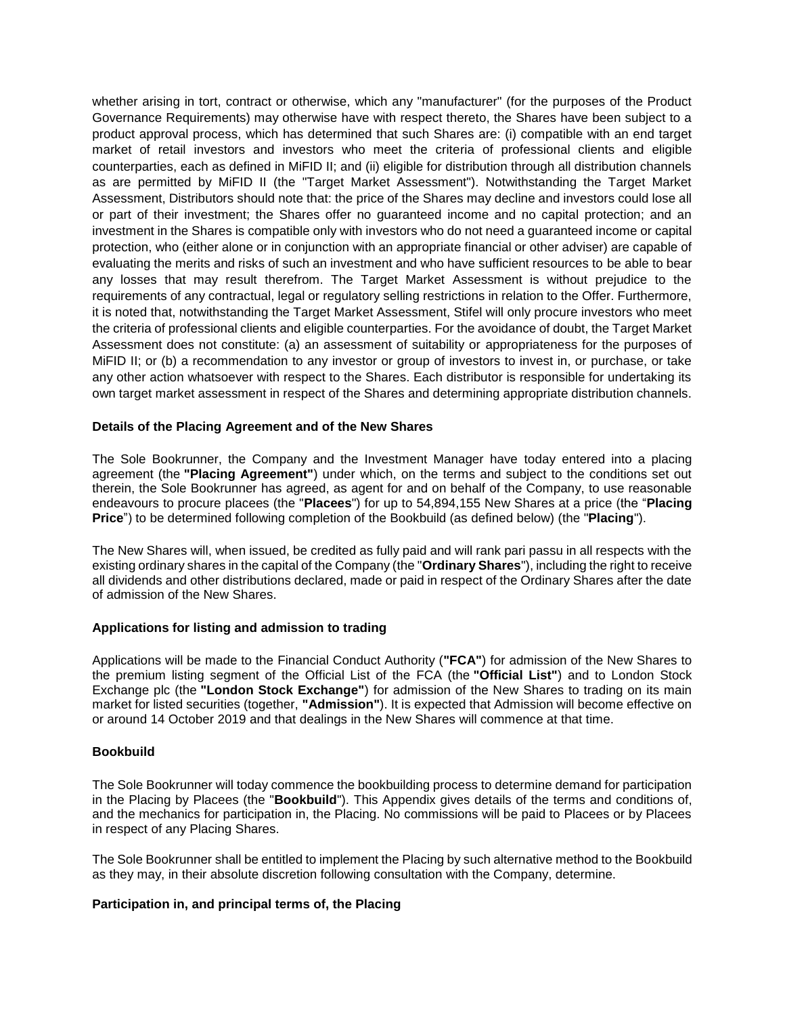whether arising in tort, contract or otherwise, which any "manufacturer" (for the purposes of the Product Governance Requirements) may otherwise have with respect thereto, the Shares have been subject to a product approval process, which has determined that such Shares are: (i) compatible with an end target market of retail investors and investors who meet the criteria of professional clients and eligible counterparties, each as defined in MiFID II; and (ii) eligible for distribution through all distribution channels as are permitted by MiFID II (the "Target Market Assessment"). Notwithstanding the Target Market Assessment, Distributors should note that: the price of the Shares may decline and investors could lose all or part of their investment; the Shares offer no guaranteed income and no capital protection; and an investment in the Shares is compatible only with investors who do not need a guaranteed income or capital protection, who (either alone or in conjunction with an appropriate financial or other adviser) are capable of evaluating the merits and risks of such an investment and who have sufficient resources to be able to bear any losses that may result therefrom. The Target Market Assessment is without prejudice to the requirements of any contractual, legal or regulatory selling restrictions in relation to the Offer. Furthermore, it is noted that, notwithstanding the Target Market Assessment, Stifel will only procure investors who meet the criteria of professional clients and eligible counterparties. For the avoidance of doubt, the Target Market Assessment does not constitute: (a) an assessment of suitability or appropriateness for the purposes of MiFID II; or (b) a recommendation to any investor or group of investors to invest in, or purchase, or take any other action whatsoever with respect to the Shares. Each distributor is responsible for undertaking its own target market assessment in respect of the Shares and determining appropriate distribution channels.

#### **Details of the Placing Agreement and of the New Shares**

The Sole Bookrunner, the Company and the Investment Manager have today entered into a placing agreement (the **"Placing Agreement"**) under which, on the terms and subject to the conditions set out therein, the Sole Bookrunner has agreed, as agent for and on behalf of the Company, to use reasonable endeavours to procure placees (the "**Placees**") for up to 54,894,155 New Shares at a price (the "**Placing Price**") to be determined following completion of the Bookbuild (as defined below) (the "**Placing**").

The New Shares will, when issued, be credited as fully paid and will rank pari passu in all respects with the existing ordinary shares in the capital of the Company (the "**Ordinary Shares**"), including the right to receive all dividends and other distributions declared, made or paid in respect of the Ordinary Shares after the date of admission of the New Shares.

## **Applications for listing and admission to trading**

Applications will be made to the Financial Conduct Authority (**"FCA"**) for admission of the New Shares to the premium listing segment of the Official List of the FCA (the **"Official List"**) and to London Stock Exchange plc (the **"London Stock Exchange"**) for admission of the New Shares to trading on its main market for listed securities (together, **"Admission"**). It is expected that Admission will become effective on or around 14 October 2019 and that dealings in the New Shares will commence at that time.

## **Bookbuild**

The Sole Bookrunner will today commence the bookbuilding process to determine demand for participation in the Placing by Placees (the "**Bookbuild**"). This Appendix gives details of the terms and conditions of, and the mechanics for participation in, the Placing. No commissions will be paid to Placees or by Placees in respect of any Placing Shares.

The Sole Bookrunner shall be entitled to implement the Placing by such alternative method to the Bookbuild as they may, in their absolute discretion following consultation with the Company, determine.

# **Participation in, and principal terms of, the Placing**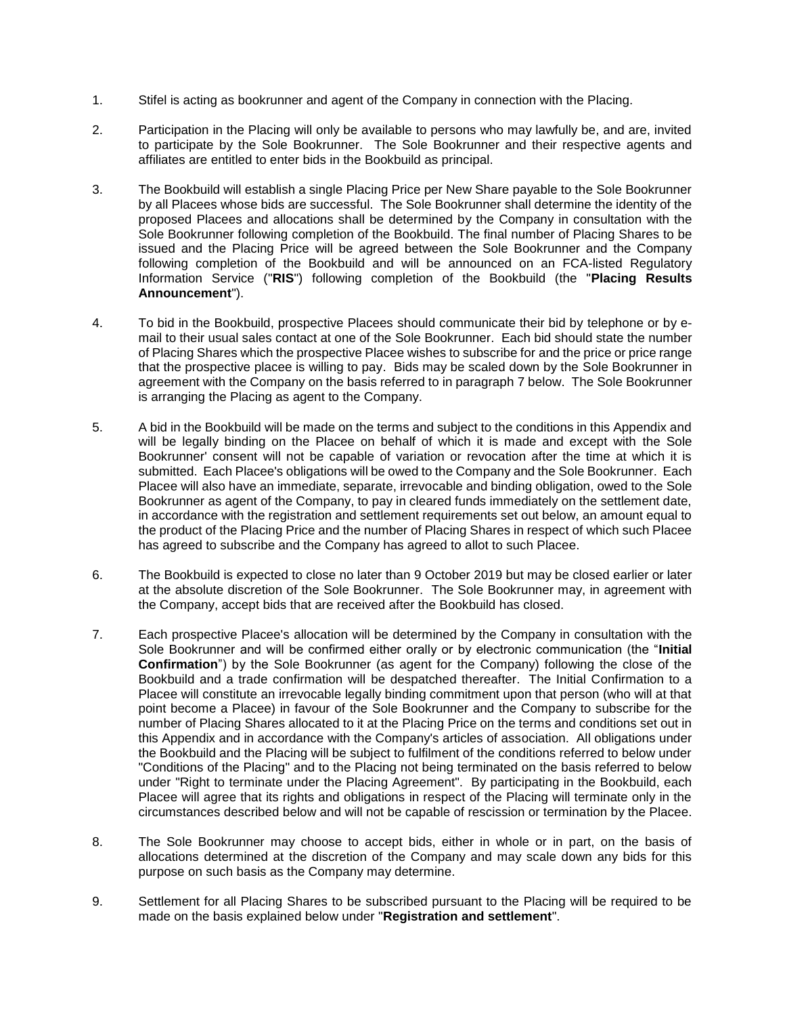- 1. Stifel is acting as bookrunner and agent of the Company in connection with the Placing.
- 2. Participation in the Placing will only be available to persons who may lawfully be, and are, invited to participate by the Sole Bookrunner. The Sole Bookrunner and their respective agents and affiliates are entitled to enter bids in the Bookbuild as principal.
- 3. The Bookbuild will establish a single Placing Price per New Share payable to the Sole Bookrunner by all Placees whose bids are successful. The Sole Bookrunner shall determine the identity of the proposed Placees and allocations shall be determined by the Company in consultation with the Sole Bookrunner following completion of the Bookbuild. The final number of Placing Shares to be issued and the Placing Price will be agreed between the Sole Bookrunner and the Company following completion of the Bookbuild and will be announced on an FCA-listed Regulatory Information Service ("**RIS**") following completion of the Bookbuild (the "**Placing Results Announcement**").
- 4. To bid in the Bookbuild, prospective Placees should communicate their bid by telephone or by email to their usual sales contact at one of the Sole Bookrunner. Each bid should state the number of Placing Shares which the prospective Placee wishes to subscribe for and the price or price range that the prospective placee is willing to pay. Bids may be scaled down by the Sole Bookrunner in agreement with the Company on the basis referred to in paragrap[h 7](#page-6-0) below. The Sole Bookrunner is arranging the Placing as agent to the Company.
- 5. A bid in the Bookbuild will be made on the terms and subject to the conditions in this Appendix and will be legally binding on the Placee on behalf of which it is made and except with the Sole Bookrunner' consent will not be capable of variation or revocation after the time at which it is submitted. Each Placee's obligations will be owed to the Company and the Sole Bookrunner. Each Placee will also have an immediate, separate, irrevocable and binding obligation, owed to the Sole Bookrunner as agent of the Company, to pay in cleared funds immediately on the settlement date, in accordance with the registration and settlement requirements set out below, an amount equal to the product of the Placing Price and the number of Placing Shares in respect of which such Placee has agreed to subscribe and the Company has agreed to allot to such Placee.
- 6. The Bookbuild is expected to close no later than 9 October 2019 but may be closed earlier or later at the absolute discretion of the Sole Bookrunner. The Sole Bookrunner may, in agreement with the Company, accept bids that are received after the Bookbuild has closed.
- <span id="page-6-0"></span>7. Each prospective Placee's allocation will be determined by the Company in consultation with the Sole Bookrunner and will be confirmed either orally or by electronic communication (the "**Initial Confirmation**") by the Sole Bookrunner (as agent for the Company) following the close of the Bookbuild and a trade confirmation will be despatched thereafter. The Initial Confirmation to a Placee will constitute an irrevocable legally binding commitment upon that person (who will at that point become a Placee) in favour of the Sole Bookrunner and the Company to subscribe for the number of Placing Shares allocated to it at the Placing Price on the terms and conditions set out in this Appendix and in accordance with the Company's articles of association. All obligations under the Bookbuild and the Placing will be subject to fulfilment of the conditions referred to below under "Conditions of the Placing" and to the Placing not being terminated on the basis referred to below under "Right to terminate under the Placing Agreement". By participating in the Bookbuild, each Placee will agree that its rights and obligations in respect of the Placing will terminate only in the circumstances described below and will not be capable of rescission or termination by the Placee.
- 8. The Sole Bookrunner may choose to accept bids, either in whole or in part, on the basis of allocations determined at the discretion of the Company and may scale down any bids for this purpose on such basis as the Company may determine.
- 9. Settlement for all Placing Shares to be subscribed pursuant to the Placing will be required to be made on the basis explained below under "**Registration and settlement**".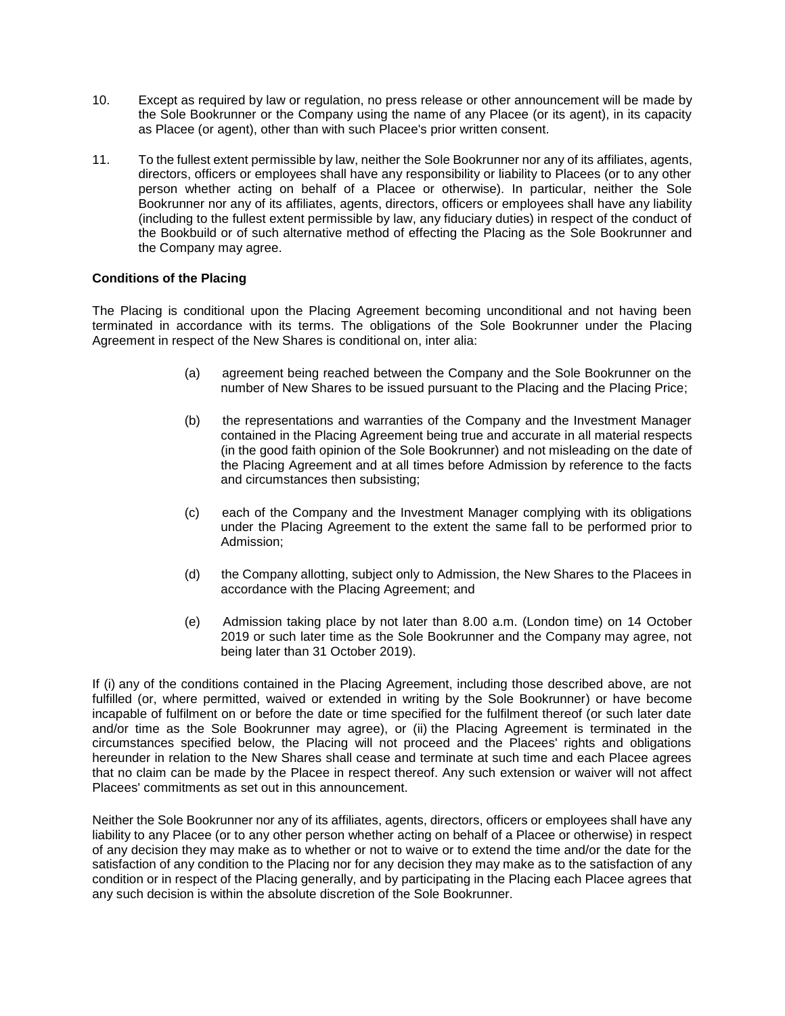- 10. Except as required by law or regulation, no press release or other announcement will be made by the Sole Bookrunner or the Company using the name of any Placee (or its agent), in its capacity as Placee (or agent), other than with such Placee's prior written consent.
- 11. To the fullest extent permissible by law, neither the Sole Bookrunner nor any of its affiliates, agents, directors, officers or employees shall have any responsibility or liability to Placees (or to any other person whether acting on behalf of a Placee or otherwise). In particular, neither the Sole Bookrunner nor any of its affiliates, agents, directors, officers or employees shall have any liability (including to the fullest extent permissible by law, any fiduciary duties) in respect of the conduct of the Bookbuild or of such alternative method of effecting the Placing as the Sole Bookrunner and the Company may agree.

# **Conditions of the Placing**

The Placing is conditional upon the Placing Agreement becoming unconditional and not having been terminated in accordance with its terms. The obligations of the Sole Bookrunner under the Placing Agreement in respect of the New Shares is conditional on, inter alia:

- (a) agreement being reached between the Company and the Sole Bookrunner on the number of New Shares to be issued pursuant to the Placing and the Placing Price;
- (b) the representations and warranties of the Company and the Investment Manager contained in the Placing Agreement being true and accurate in all material respects (in the good faith opinion of the Sole Bookrunner) and not misleading on the date of the Placing Agreement and at all times before Admission by reference to the facts and circumstances then subsisting;
- (c) each of the Company and the Investment Manager complying with its obligations under the Placing Agreement to the extent the same fall to be performed prior to Admission;
- (d) the Company allotting, subject only to Admission, the New Shares to the Placees in accordance with the Placing Agreement; and
- (e) Admission taking place by not later than 8.00 a.m. (London time) on 14 October 2019 or such later time as the Sole Bookrunner and the Company may agree, not being later than 31 October 2019).

If (i) any of the conditions contained in the Placing Agreement, including those described above, are not fulfilled (or, where permitted, waived or extended in writing by the Sole Bookrunner) or have become incapable of fulfilment on or before the date or time specified for the fulfilment thereof (or such later date and/or time as the Sole Bookrunner may agree), or (ii) the Placing Agreement is terminated in the circumstances specified below, the Placing will not proceed and the Placees' rights and obligations hereunder in relation to the New Shares shall cease and terminate at such time and each Placee agrees that no claim can be made by the Placee in respect thereof. Any such extension or waiver will not affect Placees' commitments as set out in this announcement.

Neither the Sole Bookrunner nor any of its affiliates, agents, directors, officers or employees shall have any liability to any Placee (or to any other person whether acting on behalf of a Placee or otherwise) in respect of any decision they may make as to whether or not to waive or to extend the time and/or the date for the satisfaction of any condition to the Placing nor for any decision they may make as to the satisfaction of any condition or in respect of the Placing generally, and by participating in the Placing each Placee agrees that any such decision is within the absolute discretion of the Sole Bookrunner.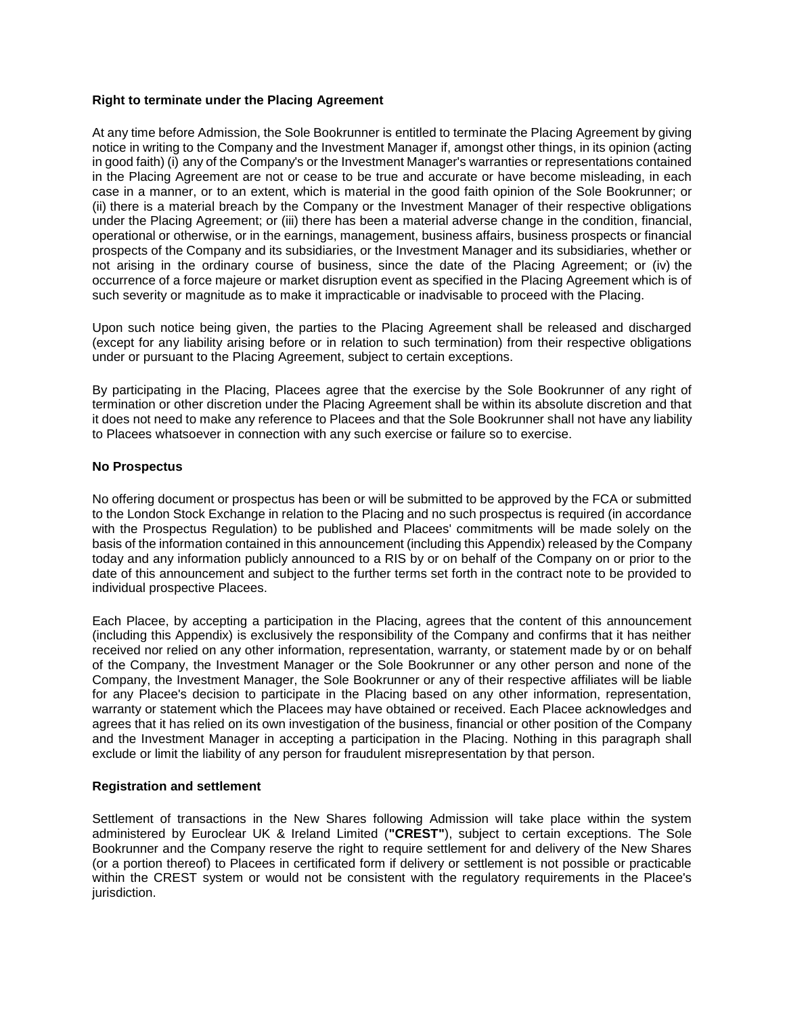# **Right to terminate under the Placing Agreement**

At any time before Admission, the Sole Bookrunner is entitled to terminate the Placing Agreement by giving notice in writing to the Company and the Investment Manager if, amongst other things, in its opinion (acting in good faith) (i) any of the Company's or the Investment Manager's warranties or representations contained in the Placing Agreement are not or cease to be true and accurate or have become misleading, in each case in a manner, or to an extent, which is material in the good faith opinion of the Sole Bookrunner; or (ii) there is a material breach by the Company or the Investment Manager of their respective obligations under the Placing Agreement; or (iii) there has been a material adverse change in the condition, financial, operational or otherwise, or in the earnings, management, business affairs, business prospects or financial prospects of the Company and its subsidiaries, or the Investment Manager and its subsidiaries, whether or not arising in the ordinary course of business, since the date of the Placing Agreement; or (iv) the occurrence of a force majeure or market disruption event as specified in the Placing Agreement which is of such severity or magnitude as to make it impracticable or inadvisable to proceed with the Placing.

Upon such notice being given, the parties to the Placing Agreement shall be released and discharged (except for any liability arising before or in relation to such termination) from their respective obligations under or pursuant to the Placing Agreement, subject to certain exceptions.

By participating in the Placing, Placees agree that the exercise by the Sole Bookrunner of any right of termination or other discretion under the Placing Agreement shall be within its absolute discretion and that it does not need to make any reference to Placees and that the Sole Bookrunner shall not have any liability to Placees whatsoever in connection with any such exercise or failure so to exercise.

## **No Prospectus**

No offering document or prospectus has been or will be submitted to be approved by the FCA or submitted to the London Stock Exchange in relation to the Placing and no such prospectus is required (in accordance with the Prospectus Regulation) to be published and Placees' commitments will be made solely on the basis of the information contained in this announcement (including this Appendix) released by the Company today and any information publicly announced to a RIS by or on behalf of the Company on or prior to the date of this announcement and subject to the further terms set forth in the contract note to be provided to individual prospective Placees.

Each Placee, by accepting a participation in the Placing, agrees that the content of this announcement (including this Appendix) is exclusively the responsibility of the Company and confirms that it has neither received nor relied on any other information, representation, warranty, or statement made by or on behalf of the Company, the Investment Manager or the Sole Bookrunner or any other person and none of the Company, the Investment Manager, the Sole Bookrunner or any of their respective affiliates will be liable for any Placee's decision to participate in the Placing based on any other information, representation, warranty or statement which the Placees may have obtained or received. Each Placee acknowledges and agrees that it has relied on its own investigation of the business, financial or other position of the Company and the Investment Manager in accepting a participation in the Placing. Nothing in this paragraph shall exclude or limit the liability of any person for fraudulent misrepresentation by that person.

## **Registration and settlement**

Settlement of transactions in the New Shares following Admission will take place within the system administered by Euroclear UK & Ireland Limited (**"CREST"**), subject to certain exceptions. The Sole Bookrunner and the Company reserve the right to require settlement for and delivery of the New Shares (or a portion thereof) to Placees in certificated form if delivery or settlement is not possible or practicable within the CREST system or would not be consistent with the regulatory requirements in the Placee's jurisdiction.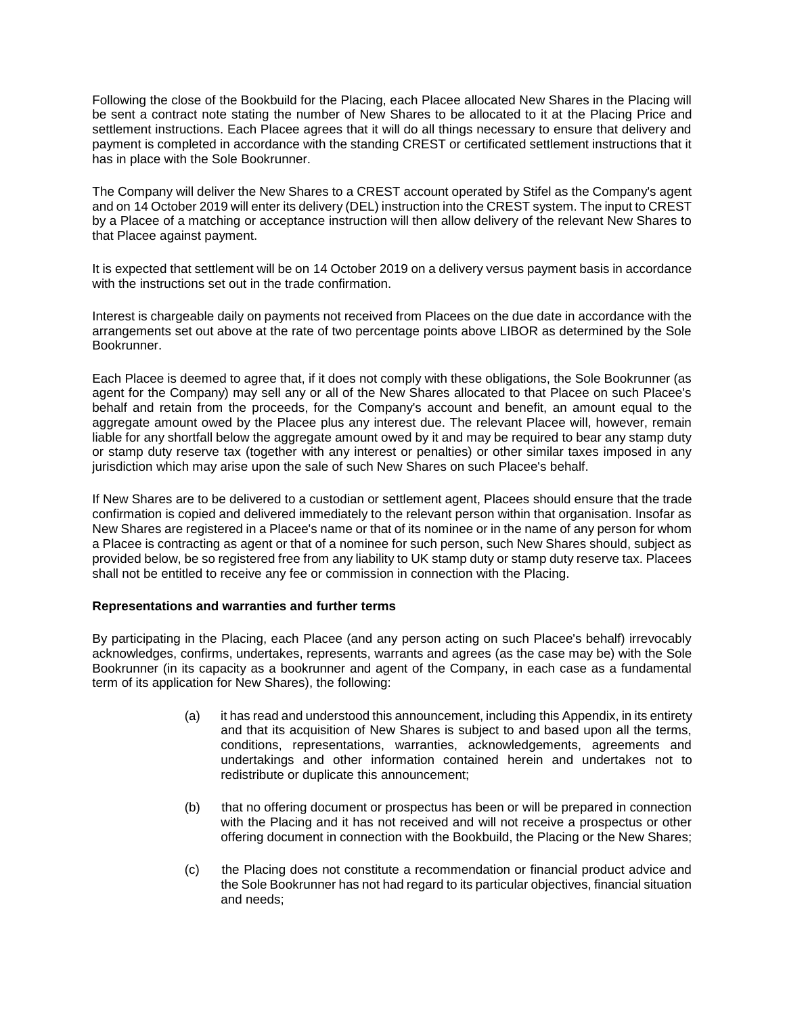Following the close of the Bookbuild for the Placing, each Placee allocated New Shares in the Placing will be sent a contract note stating the number of New Shares to be allocated to it at the Placing Price and settlement instructions. Each Placee agrees that it will do all things necessary to ensure that delivery and payment is completed in accordance with the standing CREST or certificated settlement instructions that it has in place with the Sole Bookrunner.

The Company will deliver the New Shares to a CREST account operated by Stifel as the Company's agent and on 14 October 2019 will enter its delivery (DEL) instruction into the CREST system. The input to CREST by a Placee of a matching or acceptance instruction will then allow delivery of the relevant New Shares to that Placee against payment.

It is expected that settlement will be on 14 October 2019 on a delivery versus payment basis in accordance with the instructions set out in the trade confirmation.

Interest is chargeable daily on payments not received from Placees on the due date in accordance with the arrangements set out above at the rate of two percentage points above LIBOR as determined by the Sole Bookrunner.

Each Placee is deemed to agree that, if it does not comply with these obligations, the Sole Bookrunner (as agent for the Company) may sell any or all of the New Shares allocated to that Placee on such Placee's behalf and retain from the proceeds, for the Company's account and benefit, an amount equal to the aggregate amount owed by the Placee plus any interest due. The relevant Placee will, however, remain liable for any shortfall below the aggregate amount owed by it and may be required to bear any stamp duty or stamp duty reserve tax (together with any interest or penalties) or other similar taxes imposed in any jurisdiction which may arise upon the sale of such New Shares on such Placee's behalf.

If New Shares are to be delivered to a custodian or settlement agent, Placees should ensure that the trade confirmation is copied and delivered immediately to the relevant person within that organisation. Insofar as New Shares are registered in a Placee's name or that of its nominee or in the name of any person for whom a Placee is contracting as agent or that of a nominee for such person, such New Shares should, subject as provided below, be so registered free from any liability to UK stamp duty or stamp duty reserve tax. Placees shall not be entitled to receive any fee or commission in connection with the Placing.

## **Representations and warranties and further terms**

By participating in the Placing, each Placee (and any person acting on such Placee's behalf) irrevocably acknowledges, confirms, undertakes, represents, warrants and agrees (as the case may be) with the Sole Bookrunner (in its capacity as a bookrunner and agent of the Company, in each case as a fundamental term of its application for New Shares), the following:

- (a) it has read and understood this announcement, including this Appendix, in its entirety and that its acquisition of New Shares is subject to and based upon all the terms, conditions, representations, warranties, acknowledgements, agreements and undertakings and other information contained herein and undertakes not to redistribute or duplicate this announcement;
- (b) that no offering document or prospectus has been or will be prepared in connection with the Placing and it has not received and will not receive a prospectus or other offering document in connection with the Bookbuild, the Placing or the New Shares;
- (c) the Placing does not constitute a recommendation or financial product advice and the Sole Bookrunner has not had regard to its particular objectives, financial situation and needs;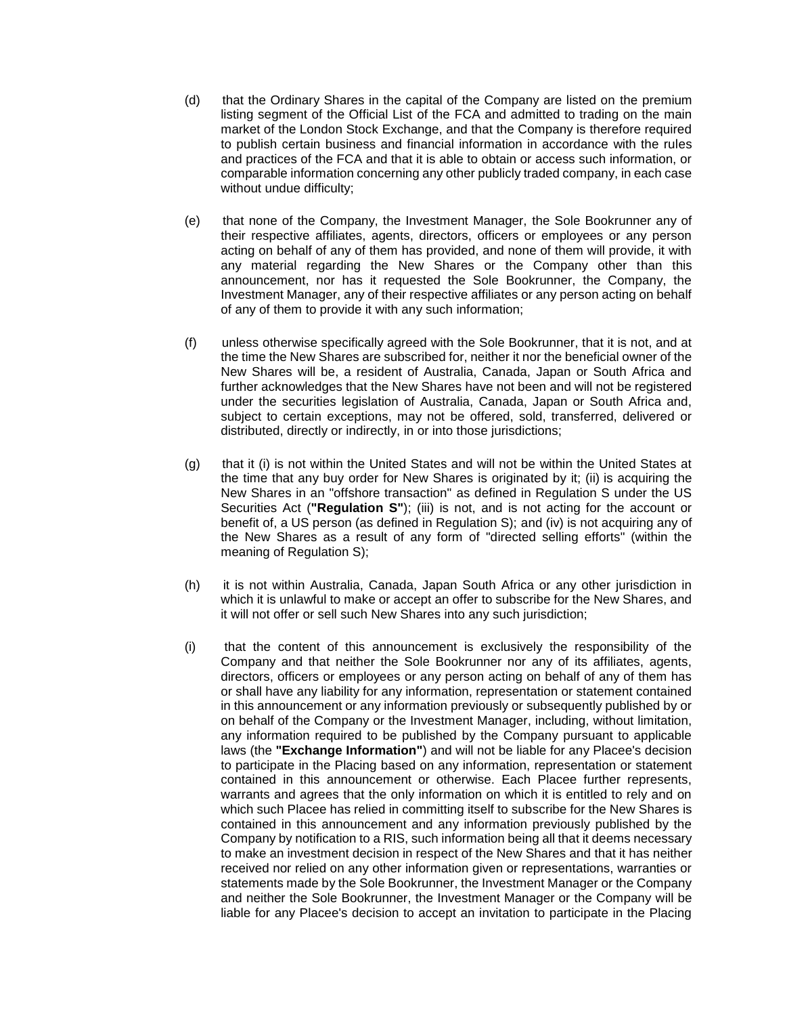- (d) that the Ordinary Shares in the capital of the Company are listed on the premium listing segment of the Official List of the FCA and admitted to trading on the main market of the London Stock Exchange, and that the Company is therefore required to publish certain business and financial information in accordance with the rules and practices of the FCA and that it is able to obtain or access such information, or comparable information concerning any other publicly traded company, in each case without undue difficulty;
- (e) that none of the Company, the Investment Manager, the Sole Bookrunner any of their respective affiliates, agents, directors, officers or employees or any person acting on behalf of any of them has provided, and none of them will provide, it with any material regarding the New Shares or the Company other than this announcement, nor has it requested the Sole Bookrunner, the Company, the Investment Manager, any of their respective affiliates or any person acting on behalf of any of them to provide it with any such information;
- (f) unless otherwise specifically agreed with the Sole Bookrunner, that it is not, and at the time the New Shares are subscribed for, neither it nor the beneficial owner of the New Shares will be, a resident of Australia, Canada, Japan or South Africa and further acknowledges that the New Shares have not been and will not be registered under the securities legislation of Australia, Canada, Japan or South Africa and, subject to certain exceptions, may not be offered, sold, transferred, delivered or distributed, directly or indirectly, in or into those jurisdictions;
- (g) that it (i) is not within the United States and will not be within the United States at the time that any buy order for New Shares is originated by it; (ii) is acquiring the New Shares in an "offshore transaction" as defined in Regulation S under the US Securities Act (**"Regulation S"**); (iii) is not, and is not acting for the account or benefit of, a US person (as defined in Regulation S); and (iv) is not acquiring any of the New Shares as a result of any form of "directed selling efforts" (within the meaning of Regulation S);
- (h) it is not within Australia, Canada, Japan South Africa or any other jurisdiction in which it is unlawful to make or accept an offer to subscribe for the New Shares, and it will not offer or sell such New Shares into any such jurisdiction;
- (i) that the content of this announcement is exclusively the responsibility of the Company and that neither the Sole Bookrunner nor any of its affiliates, agents, directors, officers or employees or any person acting on behalf of any of them has or shall have any liability for any information, representation or statement contained in this announcement or any information previously or subsequently published by or on behalf of the Company or the Investment Manager, including, without limitation, any information required to be published by the Company pursuant to applicable laws (the **"Exchange Information"**) and will not be liable for any Placee's decision to participate in the Placing based on any information, representation or statement contained in this announcement or otherwise. Each Placee further represents, warrants and agrees that the only information on which it is entitled to rely and on which such Placee has relied in committing itself to subscribe for the New Shares is contained in this announcement and any information previously published by the Company by notification to a RIS, such information being all that it deems necessary to make an investment decision in respect of the New Shares and that it has neither received nor relied on any other information given or representations, warranties or statements made by the Sole Bookrunner, the Investment Manager or the Company and neither the Sole Bookrunner, the Investment Manager or the Company will be liable for any Placee's decision to accept an invitation to participate in the Placing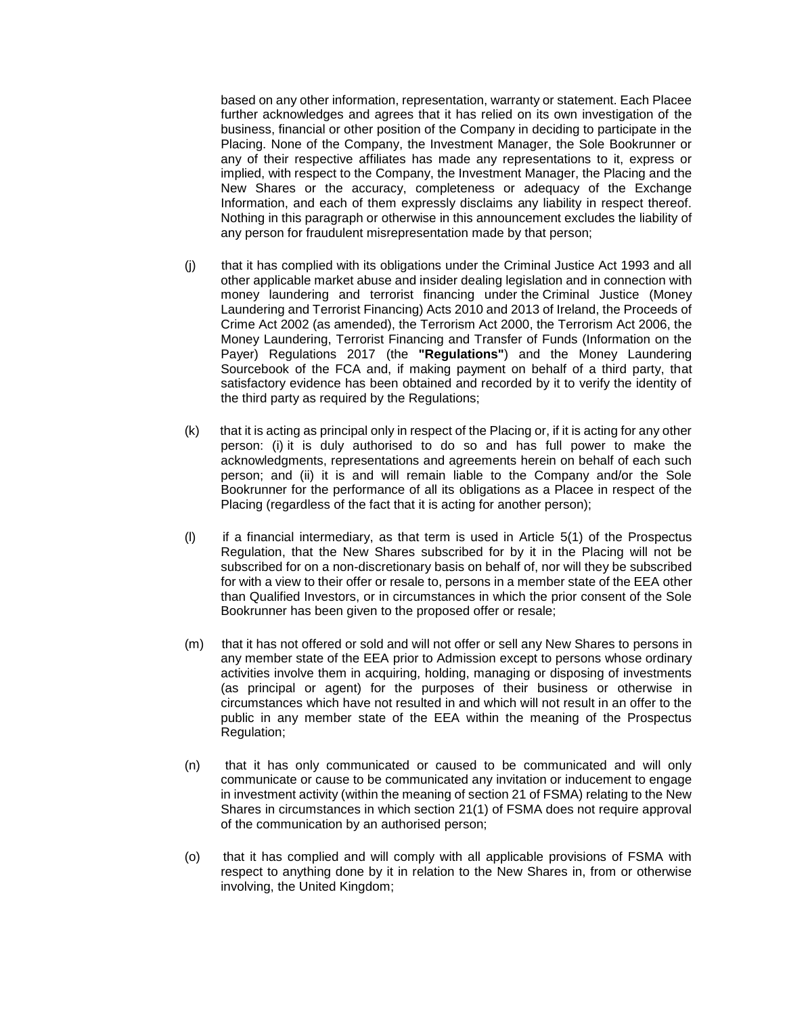based on any other information, representation, warranty or statement. Each Placee further acknowledges and agrees that it has relied on its own investigation of the business, financial or other position of the Company in deciding to participate in the Placing. None of the Company, the Investment Manager, the Sole Bookrunner or any of their respective affiliates has made any representations to it, express or implied, with respect to the Company, the Investment Manager, the Placing and the New Shares or the accuracy, completeness or adequacy of the Exchange Information, and each of them expressly disclaims any liability in respect thereof. Nothing in this paragraph or otherwise in this announcement excludes the liability of any person for fraudulent misrepresentation made by that person;

- (j) that it has complied with its obligations under the Criminal Justice Act 1993 and all other applicable market abuse and insider dealing legislation and in connection with money laundering and terrorist financing under the Criminal Justice (Money Laundering and Terrorist Financing) Acts 2010 and 2013 of Ireland, the Proceeds of Crime Act 2002 (as amended), the Terrorism Act 2000, the Terrorism Act 2006, the Money Laundering, Terrorist Financing and Transfer of Funds (Information on the Payer) Regulations 2017 (the **"Regulations"**) and the Money Laundering Sourcebook of the FCA and, if making payment on behalf of a third party, that satisfactory evidence has been obtained and recorded by it to verify the identity of the third party as required by the Regulations;
- (k) that it is acting as principal only in respect of the Placing or, if it is acting for any other person: (i) it is duly authorised to do so and has full power to make the acknowledgments, representations and agreements herein on behalf of each such person; and (ii) it is and will remain liable to the Company and/or the Sole Bookrunner for the performance of all its obligations as a Placee in respect of the Placing (regardless of the fact that it is acting for another person);
- (l) if a financial intermediary, as that term is used in Article 5(1) of the Prospectus Regulation, that the New Shares subscribed for by it in the Placing will not be subscribed for on a non-discretionary basis on behalf of, nor will they be subscribed for with a view to their offer or resale to, persons in a member state of the EEA other than Qualified Investors, or in circumstances in which the prior consent of the Sole Bookrunner has been given to the proposed offer or resale;
- (m) that it has not offered or sold and will not offer or sell any New Shares to persons in any member state of the EEA prior to Admission except to persons whose ordinary activities involve them in acquiring, holding, managing or disposing of investments (as principal or agent) for the purposes of their business or otherwise in circumstances which have not resulted in and which will not result in an offer to the public in any member state of the EEA within the meaning of the Prospectus Regulation;
- (n) that it has only communicated or caused to be communicated and will only communicate or cause to be communicated any invitation or inducement to engage in investment activity (within the meaning of section 21 of FSMA) relating to the New Shares in circumstances in which section 21(1) of FSMA does not require approval of the communication by an authorised person;
- (o) that it has complied and will comply with all applicable provisions of FSMA with respect to anything done by it in relation to the New Shares in, from or otherwise involving, the United Kingdom;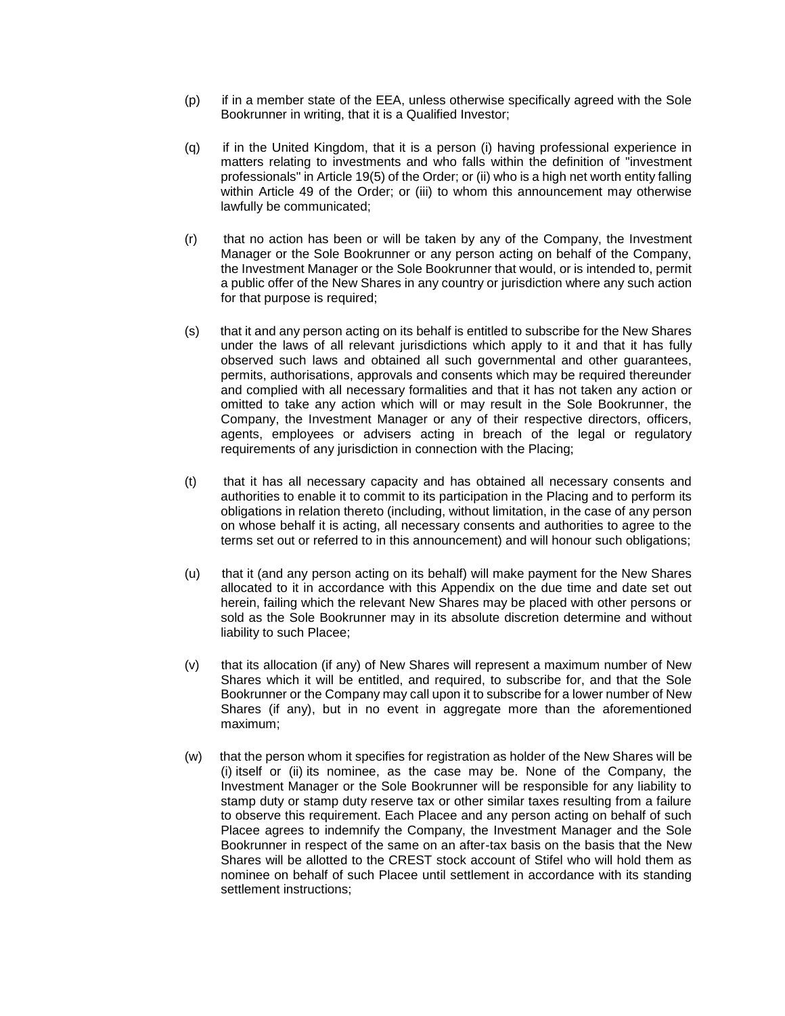- (p) if in a member state of the EEA, unless otherwise specifically agreed with the Sole Bookrunner in writing, that it is a Qualified Investor;
- (q) if in the United Kingdom, that it is a person (i) having professional experience in matters relating to investments and who falls within the definition of "investment professionals" in Article 19(5) of the Order; or (ii) who is a high net worth entity falling within Article 49 of the Order; or (iii) to whom this announcement may otherwise lawfully be communicated;
- (r) that no action has been or will be taken by any of the Company, the Investment Manager or the Sole Bookrunner or any person acting on behalf of the Company, the Investment Manager or the Sole Bookrunner that would, or is intended to, permit a public offer of the New Shares in any country or jurisdiction where any such action for that purpose is required;
- (s) that it and any person acting on its behalf is entitled to subscribe for the New Shares under the laws of all relevant jurisdictions which apply to it and that it has fully observed such laws and obtained all such governmental and other guarantees, permits, authorisations, approvals and consents which may be required thereunder and complied with all necessary formalities and that it has not taken any action or omitted to take any action which will or may result in the Sole Bookrunner, the Company, the Investment Manager or any of their respective directors, officers, agents, employees or advisers acting in breach of the legal or regulatory requirements of any jurisdiction in connection with the Placing;
- (t) that it has all necessary capacity and has obtained all necessary consents and authorities to enable it to commit to its participation in the Placing and to perform its obligations in relation thereto (including, without limitation, in the case of any person on whose behalf it is acting, all necessary consents and authorities to agree to the terms set out or referred to in this announcement) and will honour such obligations;
- (u) that it (and any person acting on its behalf) will make payment for the New Shares allocated to it in accordance with this Appendix on the due time and date set out herein, failing which the relevant New Shares may be placed with other persons or sold as the Sole Bookrunner may in its absolute discretion determine and without liability to such Placee;
- (v) that its allocation (if any) of New Shares will represent a maximum number of New Shares which it will be entitled, and required, to subscribe for, and that the Sole Bookrunner or the Company may call upon it to subscribe for a lower number of New Shares (if any), but in no event in aggregate more than the aforementioned maximum;
- (w) that the person whom it specifies for registration as holder of the New Shares will be (i) itself or (ii) its nominee, as the case may be. None of the Company, the Investment Manager or the Sole Bookrunner will be responsible for any liability to stamp duty or stamp duty reserve tax or other similar taxes resulting from a failure to observe this requirement. Each Placee and any person acting on behalf of such Placee agrees to indemnify the Company, the Investment Manager and the Sole Bookrunner in respect of the same on an after-tax basis on the basis that the New Shares will be allotted to the CREST stock account of Stifel who will hold them as nominee on behalf of such Placee until settlement in accordance with its standing settlement instructions;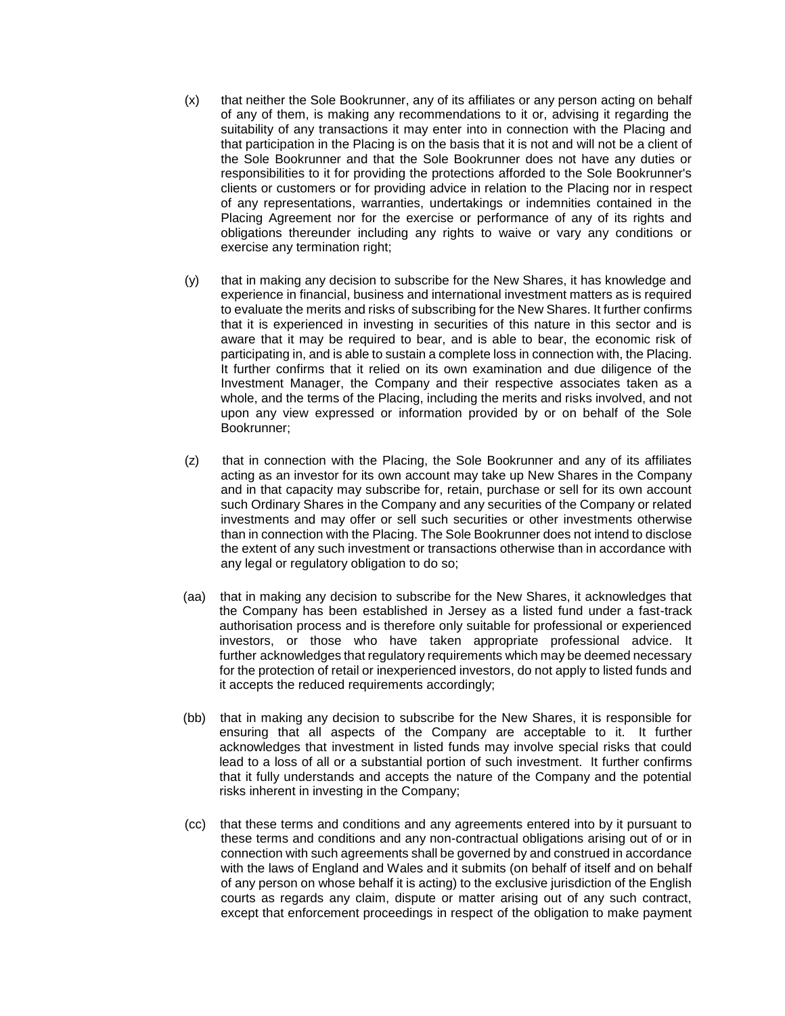- (x) that neither the Sole Bookrunner, any of its affiliates or any person acting on behalf of any of them, is making any recommendations to it or, advising it regarding the suitability of any transactions it may enter into in connection with the Placing and that participation in the Placing is on the basis that it is not and will not be a client of the Sole Bookrunner and that the Sole Bookrunner does not have any duties or responsibilities to it for providing the protections afforded to the Sole Bookrunner's clients or customers or for providing advice in relation to the Placing nor in respect of any representations, warranties, undertakings or indemnities contained in the Placing Agreement nor for the exercise or performance of any of its rights and obligations thereunder including any rights to waive or vary any conditions or exercise any termination right;
- (y) that in making any decision to subscribe for the New Shares, it has knowledge and experience in financial, business and international investment matters as is required to evaluate the merits and risks of subscribing for the New Shares. It further confirms that it is experienced in investing in securities of this nature in this sector and is aware that it may be required to bear, and is able to bear, the economic risk of participating in, and is able to sustain a complete loss in connection with, the Placing. It further confirms that it relied on its own examination and due diligence of the Investment Manager, the Company and their respective associates taken as a whole, and the terms of the Placing, including the merits and risks involved, and not upon any view expressed or information provided by or on behalf of the Sole Bookrunner;
- (z) that in connection with the Placing, the Sole Bookrunner and any of its affiliates acting as an investor for its own account may take up New Shares in the Company and in that capacity may subscribe for, retain, purchase or sell for its own account such Ordinary Shares in the Company and any securities of the Company or related investments and may offer or sell such securities or other investments otherwise than in connection with the Placing. The Sole Bookrunner does not intend to disclose the extent of any such investment or transactions otherwise than in accordance with any legal or regulatory obligation to do so;
- (aa) that in making any decision to subscribe for the New Shares, it acknowledges that the Company has been established in Jersey as a listed fund under a fast-track authorisation process and is therefore only suitable for professional or experienced investors, or those who have taken appropriate professional advice. It further acknowledges that regulatory requirements which may be deemed necessary for the protection of retail or inexperienced investors, do not apply to listed funds and it accepts the reduced requirements accordingly;
- (bb) that in making any decision to subscribe for the New Shares, it is responsible for ensuring that all aspects of the Company are acceptable to it. It further acknowledges that investment in listed funds may involve special risks that could lead to a loss of all or a substantial portion of such investment. It further confirms that it fully understands and accepts the nature of the Company and the potential risks inherent in investing in the Company;
- (cc) that these terms and conditions and any agreements entered into by it pursuant to these terms and conditions and any non-contractual obligations arising out of or in connection with such agreements shall be governed by and construed in accordance with the laws of England and Wales and it submits (on behalf of itself and on behalf of any person on whose behalf it is acting) to the exclusive jurisdiction of the English courts as regards any claim, dispute or matter arising out of any such contract, except that enforcement proceedings in respect of the obligation to make payment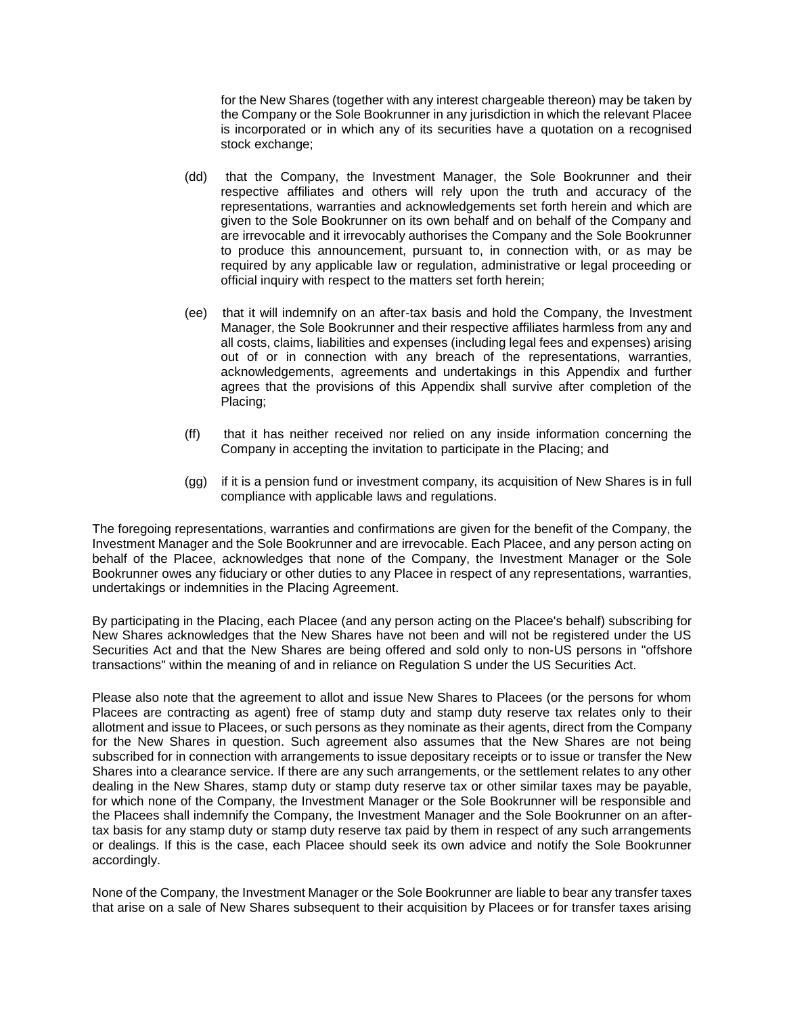for the New Shares (together with any interest chargeable thereon) may be taken by the Company or the Sole Bookrunner in any jurisdiction in which the relevant Placee is incorporated or in which any of its securities have a quotation on a recognised stock exchange;

- (dd) that the Company, the Investment Manager, the Sole Bookrunner and their respective affiliates and others will rely upon the truth and accuracy of the representations, warranties and acknowledgements set forth herein and which are given to the Sole Bookrunner on its own behalf and on behalf of the Company and are irrevocable and it irrevocably authorises the Company and the Sole Bookrunner to produce this announcement, pursuant to, in connection with, or as may be required by any applicable law or regulation, administrative or legal proceeding or official inquiry with respect to the matters set forth herein;
- (ee) that it will indemnify on an after-tax basis and hold the Company, the Investment Manager, the Sole Bookrunner and their respective affiliates harmless from any and all costs, claims, liabilities and expenses (including legal fees and expenses) arising out of or in connection with any breach of the representations, warranties, acknowledgements, agreements and undertakings in this Appendix and further agrees that the provisions of this Appendix shall survive after completion of the Placing;
- (ff) that it has neither received nor relied on any inside information concerning the Company in accepting the invitation to participate in the Placing; and
- (gg) if it is a pension fund or investment company, its acquisition of New Shares is in full compliance with applicable laws and regulations.

The foregoing representations, warranties and confirmations are given for the benefit of the Company, the Investment Manager and the Sole Bookrunner and are irrevocable. Each Placee, and any person acting on behalf of the Placee, acknowledges that none of the Company, the Investment Manager or the Sole Bookrunner owes any fiduciary or other duties to any Placee in respect of any representations, warranties, undertakings or indemnities in the Placing Agreement.

By participating in the Placing, each Placee (and any person acting on the Placee's behalf) subscribing for New Shares acknowledges that the New Shares have not been and will not be registered under the US Securities Act and that the New Shares are being offered and sold only to non-US persons in "offshore transactions" within the meaning of and in reliance on Regulation S under the US Securities Act.

Please also note that the agreement to allot and issue New Shares to Placees (or the persons for whom Placees are contracting as agent) free of stamp duty and stamp duty reserve tax relates only to their allotment and issue to Placees, or such persons as they nominate as their agents, direct from the Company for the New Shares in question. Such agreement also assumes that the New Shares are not being subscribed for in connection with arrangements to issue depositary receipts or to issue or transfer the New Shares into a clearance service. If there are any such arrangements, or the settlement relates to any other dealing in the New Shares, stamp duty or stamp duty reserve tax or other similar taxes may be payable, for which none of the Company, the Investment Manager or the Sole Bookrunner will be responsible and the Placees shall indemnify the Company, the Investment Manager and the Sole Bookrunner on an aftertax basis for any stamp duty or stamp duty reserve tax paid by them in respect of any such arrangements or dealings. If this is the case, each Placee should seek its own advice and notify the Sole Bookrunner accordingly.

None of the Company, the Investment Manager or the Sole Bookrunner are liable to bear any transfer taxes that arise on a sale of New Shares subsequent to their acquisition by Placees or for transfer taxes arising